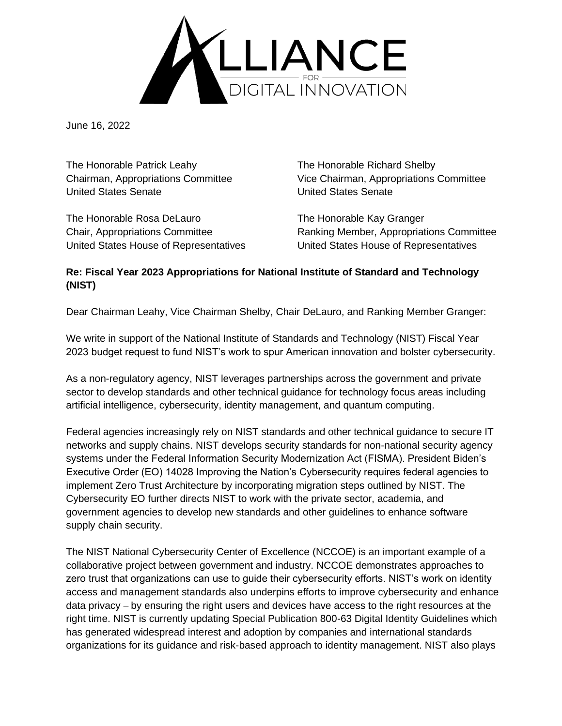

June 16, 2022

The Honorable Patrick Leahy The Honorable Richard Shelby United States Senate United States Senate

The Honorable Rosa DeLauro The Honorable Kay Granger United States House of Representatives United States House of Representatives

Chairman, Appropriations Committee Vice Chairman, Appropriations Committee

Chair, Appropriations Committee Ranking Member, Appropriations Committee

## **Re: Fiscal Year 2023 Appropriations for National Institute of Standard and Technology (NIST)**

Dear Chairman Leahy, Vice Chairman Shelby, Chair DeLauro, and Ranking Member Granger:

We write in support of the National Institute of Standards and Technology (NIST) Fiscal Year 2023 budget request to fund NIST's work to spur American innovation and bolster cybersecurity.

As a non-regulatory agency, NIST leverages partnerships across the government and private sector to develop standards and other technical guidance for technology focus areas including artificial intelligence, cybersecurity, identity management, and quantum computing.

Federal agencies increasingly rely on NIST standards and other technical guidance to secure IT networks and supply chains. NIST develops security standards for non-national security agency systems under the Federal Information Security Modernization Act (FISMA). President Biden's Executive Order (EO) 14028 Improving the Nation's Cybersecurity requires federal agencies to implement Zero Trust Architecture by incorporating migration steps outlined by NIST. The Cybersecurity EO further directs NIST to work with the private sector, academia, and government agencies to develop new standards and other guidelines to enhance software supply chain security.

The NIST National Cybersecurity Center of Excellence (NCCOE) is an important example of a collaborative project between government and industry. NCCOE demonstrates approaches to zero trust that organizations can use to guide their cybersecurity efforts. NIST's work on identity access and management standards also underpins efforts to improve cybersecurity and enhance data privacy – by ensuring the right users and devices have access to the right resources at the right time. NIST is currently updating Special Publication 800-63 Digital Identity Guidelines which has generated widespread interest and adoption by companies and international standards organizations for its guidance and risk-based approach to identity management. NIST also plays